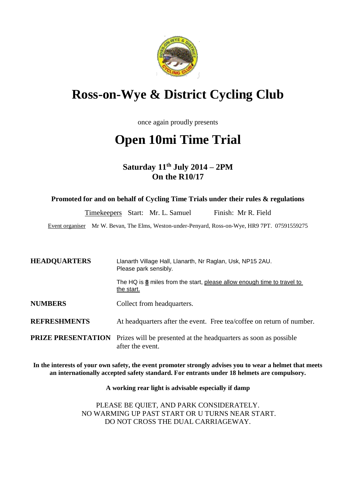

# **Ross-on-Wye & District Cycling Club**

once again proudly presents

# **Open 10mi Time Trial**

**Saturday 11 th July 2014 – 2PM On the R10/17**

**Promoted for and on behalf of Cycling Time Trials under their rules & regulations**

Timekeepers Start: Mr. L. Samuel Finish: Mr R. Field

Event organiser Mr W. Bevan, The Elms, Weston-under-Penyard, Ross-on-Wye, HR9 7PT. 07591559275

| <b>HEADQUARTERS</b> | Llanarth Village Hall, Llanarth, Nr Raglan, Usk, NP15 2AU.<br>Please park sensibly.                            |  |  |
|---------------------|----------------------------------------------------------------------------------------------------------------|--|--|
|                     | The HQ is $\underline{8}$ miles from the start, please allow enough time to travel to<br>the start.            |  |  |
| <b>NUMBERS</b>      | Collect from headquarters.                                                                                     |  |  |
| <b>REFRESHMENTS</b> | At headquarters after the event. Free tea/coffee on return of number.                                          |  |  |
|                     | <b>PRIZE PRESENTATION</b> Prizes will be presented at the headquarters as soon as possible<br>after the event. |  |  |

**In the interests of your own safety, the event promoter strongly advises you to wear a helmet that meets an internationally accepted safety standard. For entrants under 18 helmets are compulsory.**

**A working rear light is advisable especially if damp**

PLEASE BE QUIET, AND PARK CONSIDERATELY. NO WARMING UP PAST START OR U TURNS NEAR START. DO NOT CROSS THE DUAL CARRIAGEWAY.